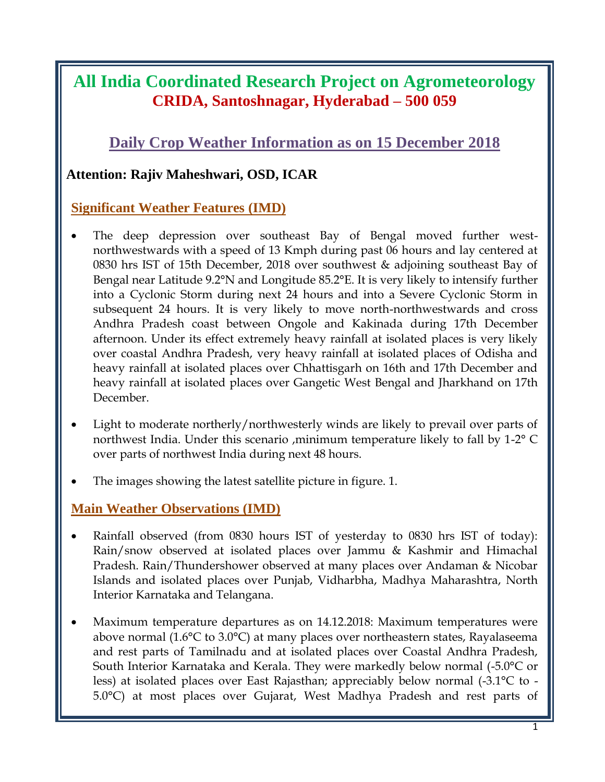## **All India Coordinated Research Project on Agrometeorology CRIDA, Santoshnagar, Hyderabad – 500 059**

## **Daily Crop Weather Information as on 15 December 2018**

#### **Attention: Rajiv Maheshwari, OSD, ICAR**

#### **Significant Weather Features (IMD)**

- The deep depression over southeast Bay of Bengal moved further westnorthwestwards with a speed of 13 Kmph during past 06 hours and lay centered at 0830 hrs IST of 15th December, 2018 over southwest & adjoining southeast Bay of Bengal near Latitude 9.2°N and Longitude 85.2°E. It is very likely to intensify further into a Cyclonic Storm during next 24 hours and into a Severe Cyclonic Storm in subsequent 24 hours. It is very likely to move north-northwestwards and cross Andhra Pradesh coast between Ongole and Kakinada during 17th December afternoon. Under its effect extremely heavy rainfall at isolated places is very likely over coastal Andhra Pradesh, very heavy rainfall at isolated places of Odisha and heavy rainfall at isolated places over Chhattisgarh on 16th and 17th December and heavy rainfall at isolated places over Gangetic West Bengal and Jharkhand on 17th December.
- Light to moderate northerly/northwesterly winds are likely to prevail over parts of northwest India. Under this scenario ,minimum temperature likely to fall by 1-2° C over parts of northwest India during next 48 hours.
- The images showing the latest satellite picture in figure. 1.

#### **Main Weather Observations (IMD)**

- Rainfall observed (from 0830 hours IST of yesterday to 0830 hrs IST of today): Rain/snow observed at isolated places over Jammu & Kashmir and Himachal Pradesh. Rain/Thundershower observed at many places over Andaman & Nicobar Islands and isolated places over Punjab, Vidharbha, Madhya Maharashtra, North Interior Karnataka and Telangana.
- Maximum temperature departures as on 14.12.2018: Maximum temperatures were above normal (1.6°C to 3.0°C) at many places over northeastern states, Rayalaseema and rest parts of Tamilnadu and at isolated places over Coastal Andhra Pradesh, South Interior Karnataka and Kerala. They were markedly below normal (-5.0°C or less) at isolated places over East Rajasthan; appreciably below normal (-3.1°C to - 5.0°C) at most places over Gujarat, West Madhya Pradesh and rest parts of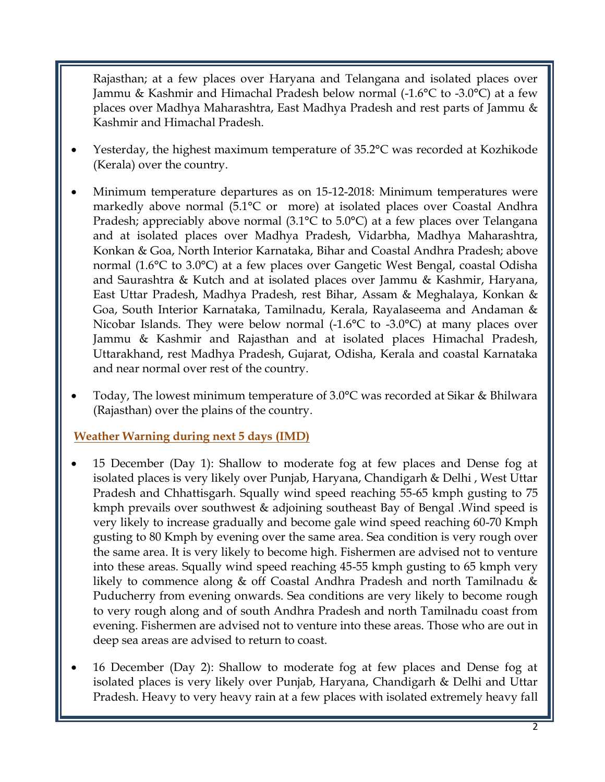Rajasthan; at a few places over Haryana and Telangana and isolated places over Jammu & Kashmir and Himachal Pradesh below normal (-1.6°C to -3.0°C) at a few places over Madhya Maharashtra, East Madhya Pradesh and rest parts of Jammu & Kashmir and Himachal Pradesh.

- Yesterday, the highest maximum temperature of 35.2°C was recorded at Kozhikode (Kerala) over the country.
- Minimum temperature departures as on 15-12-2018: Minimum temperatures were markedly above normal (5.1°C or more) at isolated places over Coastal Andhra Pradesh; appreciably above normal (3.1°C to 5.0°C) at a few places over Telangana and at isolated places over Madhya Pradesh, Vidarbha, Madhya Maharashtra, Konkan & Goa, North Interior Karnataka, Bihar and Coastal Andhra Pradesh; above normal (1.6°C to 3.0°C) at a few places over Gangetic West Bengal, coastal Odisha and Saurashtra & Kutch and at isolated places over Jammu & Kashmir, Haryana, East Uttar Pradesh, Madhya Pradesh, rest Bihar, Assam & Meghalaya, Konkan & Goa, South Interior Karnataka, Tamilnadu, Kerala, Rayalaseema and Andaman & Nicobar Islands. They were below normal  $(-1.6^{\circ}C)$  to  $-3.0^{\circ}C$  at many places over Jammu & Kashmir and Rajasthan and at isolated places Himachal Pradesh, Uttarakhand, rest Madhya Pradesh, Gujarat, Odisha, Kerala and coastal Karnataka and near normal over rest of the country.
- Today, The lowest minimum temperature of 3.0°C was recorded at Sikar & Bhilwara (Rajasthan) over the plains of the country.

**Weather Warning during next 5 days (IMD)**

- 15 December (Day 1): Shallow to moderate fog at few places and Dense fog at isolated places is very likely over Punjab, Haryana, Chandigarh & Delhi , West Uttar Pradesh and Chhattisgarh. Squally wind speed reaching 55-65 kmph gusting to 75 kmph prevails over southwest & adjoining southeast Bay of Bengal .Wind speed is very likely to increase gradually and become gale wind speed reaching 60-70 Kmph gusting to 80 Kmph by evening over the same area. Sea condition is very rough over the same area. It is very likely to become high. Fishermen are advised not to venture into these areas. Squally wind speed reaching 45-55 kmph gusting to 65 kmph very likely to commence along & off Coastal Andhra Pradesh and north Tamilnadu & Puducherry from evening onwards. Sea conditions are very likely to become rough to very rough along and of south Andhra Pradesh and north Tamilnadu coast from evening. Fishermen are advised not to venture into these areas. Those who are out in deep sea areas are advised to return to coast.
- 16 December (Day 2): Shallow to moderate fog at few places and Dense fog at isolated places is very likely over Punjab, Haryana, Chandigarh & Delhi and Uttar Pradesh. Heavy to very heavy rain at a few places with isolated extremely heavy fall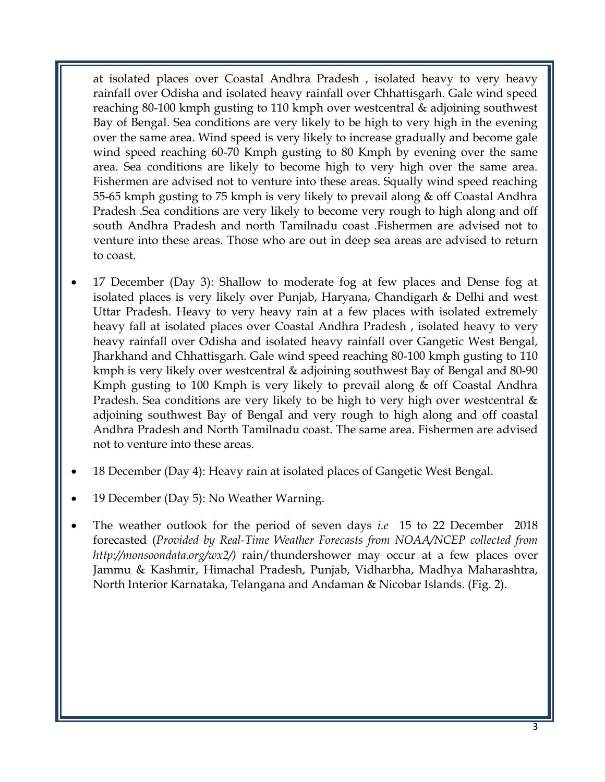at isolated places over Coastal Andhra Pradesh , isolated heavy to very heavy rainfall over Odisha and isolated heavy rainfall over Chhattisgarh. Gale wind speed reaching 80-100 kmph gusting to 110 kmph over westcentral & adjoining southwest Bay of Bengal. Sea conditions are very likely to be high to very high in the evening over the same area. Wind speed is very likely to increase gradually and become gale wind speed reaching 60-70 Kmph gusting to 80 Kmph by evening over the same area. Sea conditions are likely to become high to very high over the same area. Fishermen are advised not to venture into these areas. Squally wind speed reaching 55-65 kmph gusting to 75 kmph is very likely to prevail along & off Coastal Andhra Pradesh .Sea conditions are very likely to become very rough to high along and off south Andhra Pradesh and north Tamilnadu coast .Fishermen are advised not to venture into these areas. Those who are out in deep sea areas are advised to return to coast.

- 17 December (Day 3): Shallow to moderate fog at few places and Dense fog at isolated places is very likely over Punjab, Haryana, Chandigarh & Delhi and west Uttar Pradesh. Heavy to very heavy rain at a few places with isolated extremely heavy fall at isolated places over Coastal Andhra Pradesh , isolated heavy to very heavy rainfall over Odisha and isolated heavy rainfall over Gangetic West Bengal, Jharkhand and Chhattisgarh. Gale wind speed reaching 80-100 kmph gusting to 110 kmph is very likely over westcentral & adjoining southwest Bay of Bengal and 80-90 Kmph gusting to 100 Kmph is very likely to prevail along & off Coastal Andhra Pradesh. Sea conditions are very likely to be high to very high over westcentral  $\&$ adjoining southwest Bay of Bengal and very rough to high along and off coastal Andhra Pradesh and North Tamilnadu coast. The same area. Fishermen are advised not to venture into these areas.
- 18 December (Day 4): Heavy rain at isolated places of Gangetic West Bengal.
- 19 December (Day 5): No Weather Warning.
- The weather outlook for the period of seven days *i.e* 15 to 22 December 2018 forecasted (*Provided by Real-Time Weather Forecasts from NOAA/NCEP collected from http://monsoondata.org/wx2/)* rain/thundershower may occur at a few places over Jammu & Kashmir, Himachal Pradesh, Punjab, Vidharbha, Madhya Maharashtra, North Interior Karnataka, Telangana and Andaman & Nicobar Islands. (Fig. 2).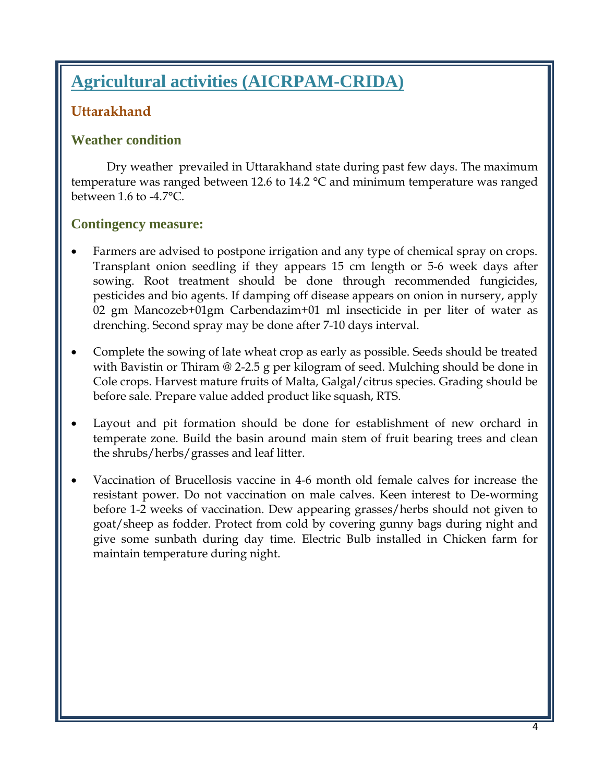# **Agricultural activities (AICRPAM-CRIDA)**

### **Uttarakhand**

#### **Weather condition**

Dry weather prevailed in Uttarakhand state during past few days. The maximum temperature was ranged between 12.6 to 14.2 °C and minimum temperature was ranged between 1.6 to -4.7°C.

#### **Contingency measure:**

- Farmers are advised to postpone irrigation and any type of chemical spray on crops. Transplant onion seedling if they appears 15 cm length or 5-6 week days after sowing. Root treatment should be done through recommended fungicides, pesticides and bio agents. If damping off disease appears on onion in nursery, apply 02 gm Mancozeb+01gm Carbendazim+01 ml insecticide in per liter of water as drenching. Second spray may be done after 7-10 days interval.
- Complete the sowing of late wheat crop as early as possible. Seeds should be treated with Bavistin or Thiram @ 2-2.5 g per kilogram of seed. Mulching should be done in Cole crops. Harvest mature fruits of Malta, Galgal/citrus species. Grading should be before sale. Prepare value added product like squash, RTS.
- Layout and pit formation should be done for establishment of new orchard in temperate zone. Build the basin around main stem of fruit bearing trees and clean the shrubs/herbs/grasses and leaf litter.
- Vaccination of Brucellosis vaccine in 4-6 month old female calves for increase the resistant power. Do not vaccination on male calves. Keen interest to De-worming before 1-2 weeks of vaccination. Dew appearing grasses/herbs should not given to goat/sheep as fodder. Protect from cold by covering gunny bags during night and give some sunbath during day time. Electric Bulb installed in Chicken farm for maintain temperature during night.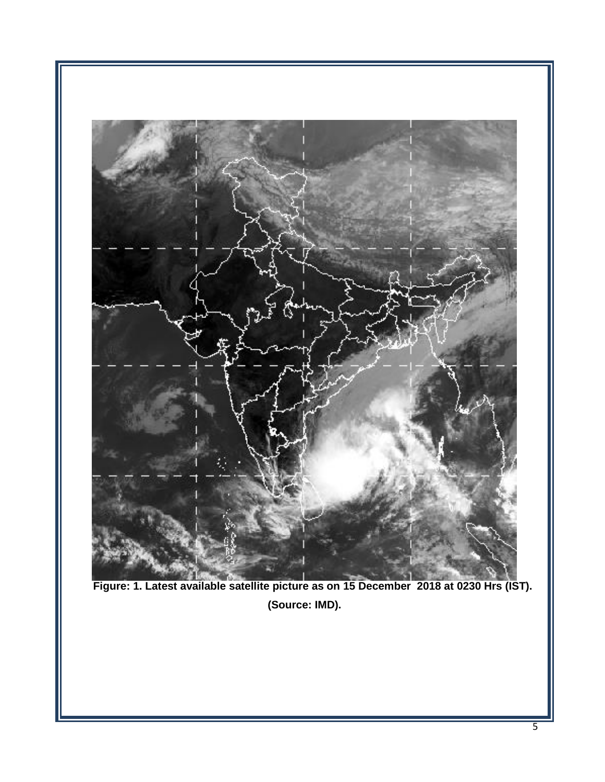

**Figure: 1. Latest available satellite picture as on 15 December 2018 at 0230 Hrs (IST). (Source: IMD).**